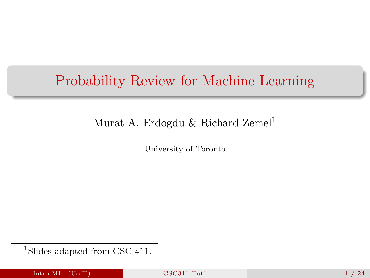# <span id="page-0-0"></span>Probability Review for Machine Learning

### Murat A. Erdogdu & Richard Zemel<sup>1</sup>

University of Toronto

<sup>1</sup>Slides adapted from CSC 411.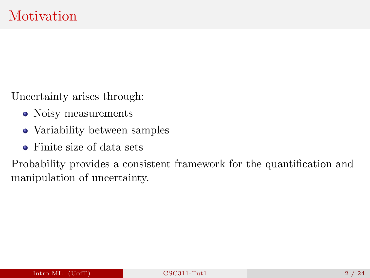Uncertainty arises through:

- Noisy measurements
- Variability between samples
- Finite size of data sets

Probability provides a consistent framework for the quantification and manipulation of uncertainty.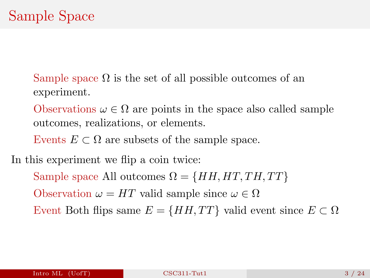Sample space  $\Omega$  is the set of all possible outcomes of an experiment.

Observations  $\omega \in \Omega$  are points in the space also called sample outcomes, realizations, or elements.

Events  $E \subset \Omega$  are subsets of the sample space.

In this experiment we flip a coin twice:

Sample space All outcomes  $\Omega = \{HH, HT, TH, TT\}$ 

Observation  $\omega = HT$  valid sample since  $\omega \in \Omega$ 

Event Both flips same  $E = \{HH, TT\}$  valid event since  $E \subset \Omega$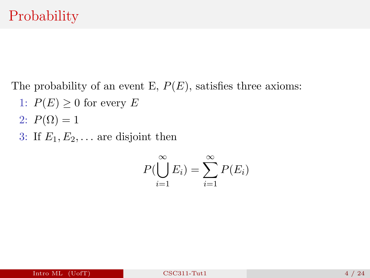The probability of an event E,  $P(E)$ , satisfies three axioms:

- 1:  $P(E) \geq 0$  for every E
- 2:  $P(\Omega) = 1$
- 3: If  $E_1, E_2, \ldots$  are disjoint then

$$
P(\bigcup_{i=1}^{\infty} E_i) = \sum_{i=1}^{\infty} P(E_i)
$$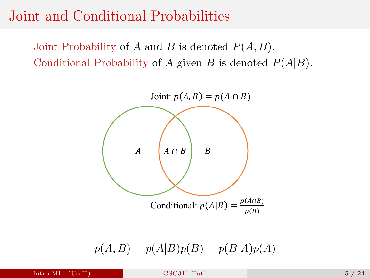## Joint and Conditional Probabilities

Joint Probability of A and B is denoted  $P(A, B)$ . Conditional Probability of A given B is denoted  $P(A|B)$ .



$$
p(A, B) = p(A|B)p(B) = p(B|A)p(A)
$$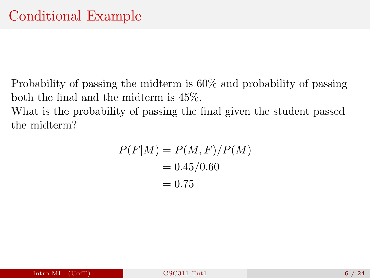Probability of passing the midterm is 60% and probability of passing both the final and the midterm is 45%. What is the probability of passing the final given the student passed the midterm?

$$
P(F|M) = P(M, F)/P(M)
$$

$$
= 0.45/0.60
$$

$$
= 0.75
$$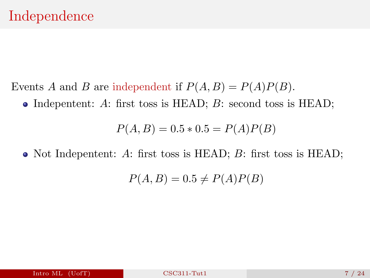- Events A and B are independent if  $P(A, B) = P(A)P(B)$ .
	- Indepentent: A: first toss is HEAD;  $B$ : second toss is HEAD;

$$
P(A, B) = 0.5 * 0.5 = P(A)P(B)
$$

• Not Indepentent: A: first toss is HEAD; B: first toss is HEAD;

$$
P(A, B) = 0.5 \neq P(A)P(B)
$$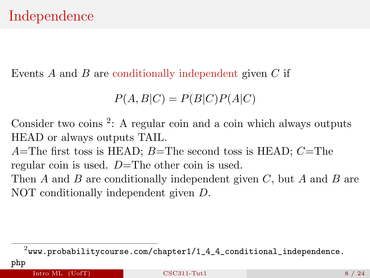Events  $A$  and  $B$  are conditionally independent given  $C$  if

$$
P(A, B|C) = P(B|C)P(A|C)
$$

Consider two coins <sup>2</sup>: A regular coin and a coin which always outputs HEAD or always outputs TAIL.

 $A$ =The first toss is HEAD;  $B$ =The second toss is HEAD;  $C$ =The regular coin is used.  $D=\text{The other coin is used.}$ 

Then A and B are conditionally independent given C, but A and B are NOT conditionally independent given D.

[php](www.probabilitycourse.com/chapter1/1_4_4_conditional_independence.php)

 $^2$ [www.probabilitycourse.com/chapter1/1\\_4\\_4\\_conditional\\_independence.](www.probabilitycourse.com/chapter1/1_4_4_conditional_independence.php)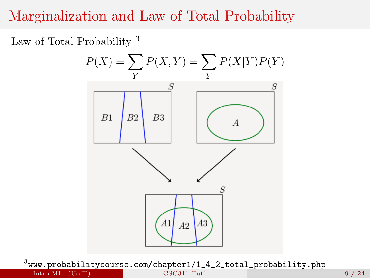# Marginalization and Law of Total Probability

Law of Total Probability <sup>3</sup>



 $^3$ [www.probabilitycourse.com/chapter1/1\\_4\\_2\\_total\\_probability.php](www.probabilitycourse.com/chapter1/1_4_2_total_probability.php) **Intro ML** (UofT) **[CSC311-Tut1](#page-0-0)** CSC311-Tut1 9 / 24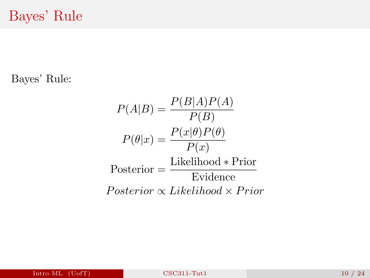Bayes' Rule:

$$
P(A|B) = \frac{P(B|A)P(A)}{P(B)}
$$

$$
P(\theta|x) = \frac{P(x|\theta)P(\theta)}{P(x)}
$$

$$
Posterior = \frac{\text{Likelihood} * Prior}{\text{Evidence}}
$$

$$
Posterior \propto Likelihood \times Prior
$$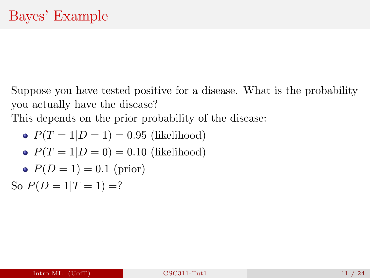Suppose you have tested positive for a disease. What is the probability you actually have the disease?

This depends on the prior probability of the disease:

• 
$$
P(T = 1|D = 1) = 0.95
$$
 (likelihood)  
•  $P(T = 1|D = 0) = 0.10$  (likelihood)

• 
$$
P(T = 1|D = 0) = 0.10
$$
 (likelihood)

• 
$$
P(D = 1) = 0.1
$$
 (prior)

So  $P(D = 1|T = 1) = ?$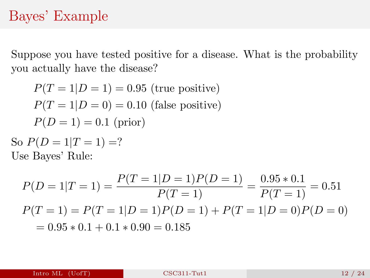# Bayes' Example

Suppose you have tested positive for a disease. What is the probability you actually have the disease?

$$
P(T = 1|D = 1) = 0.95
$$
(true positive)  

$$
P(T = 1|D = 0) = 0.10
$$
(false positive)  

$$
P(D = 1) = 0.1
$$
(prior)

So  $P(D = 1|T = 1) = ?$ Use Bayes' Rule:

$$
P(D = 1|T = 1) = \frac{P(T = 1|D = 1)P(D = 1)}{P(T = 1)} = \frac{0.95 * 0.1}{P(T = 1)} = 0.51
$$
  

$$
P(T = 1) = P(T = 1|D = 1)P(D = 1) + P(T = 1|D = 0)P(D = 0)
$$
  

$$
= 0.95 * 0.1 + 0.1 * 0.90 = 0.185
$$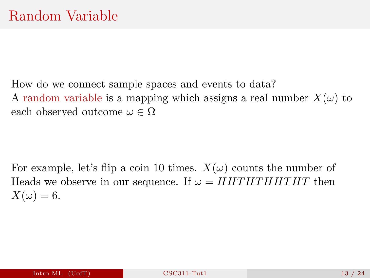How do we connect sample spaces and events to data? A random variable is a mapping which assigns a real number  $X(\omega)$  to each observed outcome  $\omega \in \Omega$ 

For example, let's flip a coin 10 times.  $X(\omega)$  counts the number of Heads we observe in our sequence. If  $\omega = HHTHTHTHT$  then  $X(\omega) = 6.$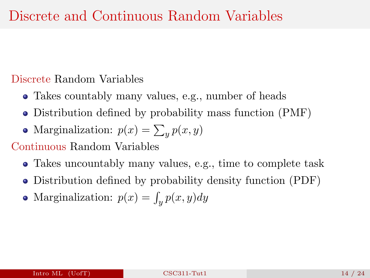### Discrete Random Variables

- Takes countably many values, e.g., number of heads
- Distribution defined by probability mass function (PMF)
- Marginalization:  $p(x) = \sum_{y} p(x, y)$

#### Continuous Random Variables

- Takes uncountably many values, e.g., time to complete task
- Distribution defined by probability density function (PDF)
- Marginalization:  $p(x) = \int_y p(x, y) dy$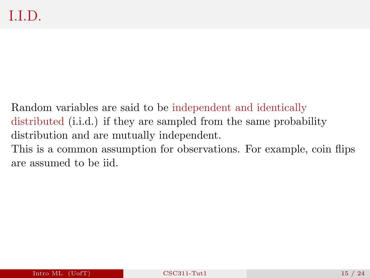Random variables are said to be independent and identically distributed (i.i.d.) if they are sampled from the same probability distribution and are mutually independent. This is a common assumption for observations. For example, coin flips are assumed to be iid.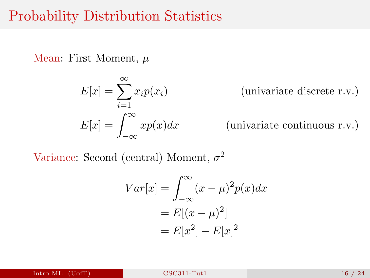## Probability Distribution Statistics

Mean: First Moment,  $\mu$ 

$$
E[x] = \sum_{i=1}^{\infty} x_i p(x_i)
$$
 (univariate discrete r.v.)  

$$
E[x] = \int_{-\infty}^{\infty} x p(x) dx
$$
 (univariate continuous r.v.)

Variance: Second (central) Moment,  $\sigma^2$ 

$$
Var[x] = \int_{-\infty}^{\infty} (x - \mu)^2 p(x) dx
$$

$$
= E[(x - \mu)^2]
$$

$$
= E[x^2] - E[x]^2
$$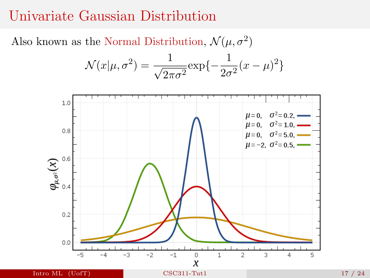## Univariate Gaussian Distribution

Also known as the Normal Distribution,  $\mathcal{N}(\mu, \sigma^2)$ 

$$
\mathcal{N}(x|\mu, \sigma^2) = \frac{1}{\sqrt{2\pi\sigma^2}} \exp\{-\frac{1}{2\sigma^2}(x-\mu)^2\}
$$

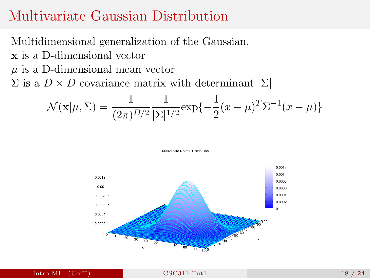## Multivariate Gaussian Distribution

Multidimensional generalization of the Gaussian.

- x is a D-dimensional vector
- $\mu$  is a D-dimensional mean vector

 $\Sigma$  is a  $D \times D$  covariance matrix with determinant  $\Sigma$ 

$$
\mathcal{N}(\mathbf{x}|\mu, \Sigma) = \frac{1}{(2\pi)^{D/2}} \frac{1}{|\Sigma|^{1/2}} \exp\{-\frac{1}{2}(x - \mu)^T \Sigma^{-1} (x - \mu)\}
$$



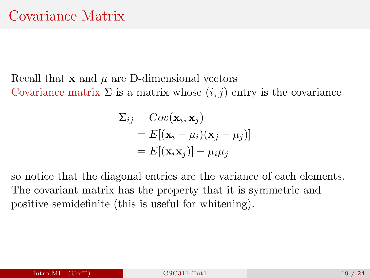Recall that  $x$  and  $\mu$  are D-dimensional vectors Covariance matrix  $\Sigma$  is a matrix whose  $(i, j)$  entry is the covariance

$$
\Sigma_{ij} = Cov(\mathbf{x}_i, \mathbf{x}_j)
$$
  
=  $E[(\mathbf{x}_i - \mu_i)(\mathbf{x}_j - \mu_j)]$   
=  $E[(\mathbf{x}_i \mathbf{x}_j)] - \mu_i \mu_j$ 

so notice that the diagonal entries are the variance of each elements. The covariant matrix has the property that it is symmetric and positive-semidefinite (this is useful for whitening).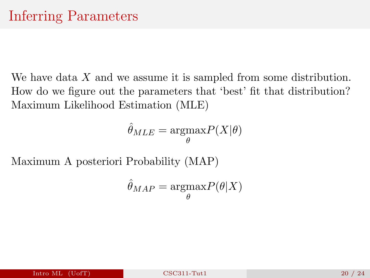We have data X and we assume it is sampled from some distribution. How do we figure out the parameters that 'best' fit that distribution? Maximum Likelihood Estimation (MLE)

$$
\hat{\theta}_{MLE} = \operatorname*{argmax}_{\theta} P(X|\theta)
$$

Maximum A posteriori Probability (MAP)

$$
\hat{\theta}_{MAP} = \underset{\theta}{\text{argmax}} P(\theta|X)
$$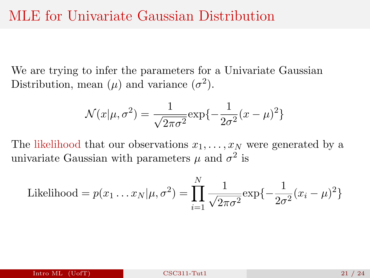We are trying to infer the parameters for a Univariate Gaussian Distribution, mean  $(\mu)$  and variance  $(\sigma^2)$ .

$$
\mathcal{N}(x|\mu, \sigma^2) = \frac{1}{\sqrt{2\pi\sigma^2}} \exp\{-\frac{1}{2\sigma^2}(x-\mu)^2\}
$$

The likelihood that our observations  $x_1, \ldots, x_N$  were generated by a univariate Gaussian with parameters  $\mu$  and  $\sigma^2$  is

Likelihood = 
$$
p(x_1 ... x_N | \mu, \sigma^2) = \prod_{i=1}^N \frac{1}{\sqrt{2\pi\sigma^2}} \exp\{-\frac{1}{2\sigma^2}(x_i - \mu)^2\}
$$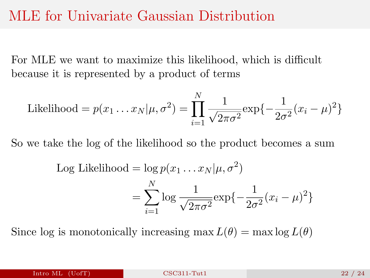## MLE for Univariate Gaussian Distribution

For MLE we want to maximize this likelihood, which is difficult because it is represented by a product of terms

Likelihood = 
$$
p(x_1 ... x_N | \mu, \sigma^2) = \prod_{i=1}^N \frac{1}{\sqrt{2\pi\sigma^2}} \exp\{-\frac{1}{2\sigma^2}(x_i - \mu)^2\}
$$

So we take the log of the likelihood so the product becomes a sum

Log Likelihood = 
$$
\log p(x_1 \dots x_N | \mu, \sigma^2)
$$
  
= 
$$
\sum_{i=1}^N \log \frac{1}{\sqrt{2\pi\sigma^2}} \exp\{-\frac{1}{2\sigma^2}(x_i - \mu)^2\}
$$

Since log is monotonically increasing  $\max L(\theta) = \max \log L(\theta)$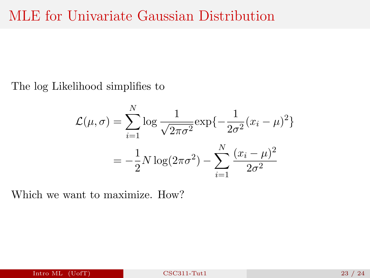The log Likelihood simplifies to

$$
\mathcal{L}(\mu, \sigma) = \sum_{i=1}^{N} \log \frac{1}{\sqrt{2\pi\sigma^2}} \exp\{-\frac{1}{2\sigma^2}(x_i - \mu)^2\}
$$

$$
= -\frac{1}{2}N \log(2\pi\sigma^2) - \sum_{i=1}^{N} \frac{(x_i - \mu)^2}{2\sigma^2}
$$

Which we want to maximize. How?